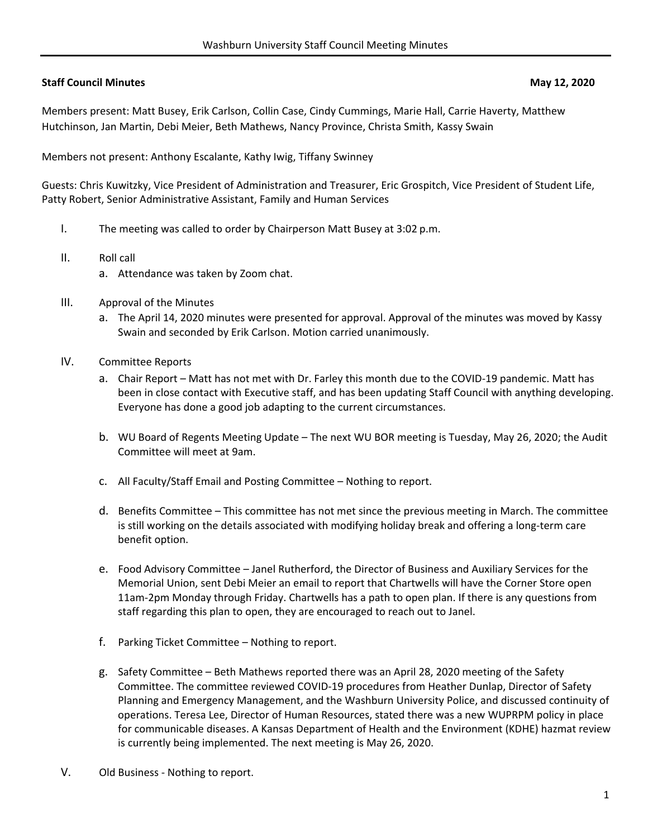# **Staff Council Minutes May 12, 2020**

Members present: Matt Busey, Erik Carlson, Collin Case, Cindy Cummings, Marie Hall, Carrie Haverty, Matthew Hutchinson, Jan Martin, Debi Meier, Beth Mathews, Nancy Province, Christa Smith, Kassy Swain

Members not present: Anthony Escalante, Kathy Iwig, Tiffany Swinney

Guests: Chris Kuwitzky, Vice President of Administration and Treasurer, Eric Grospitch, Vice President of Student Life, Patty Robert, Senior Administrative Assistant, Family and Human Services

- I. The meeting was called to order by Chairperson Matt Busey at 3:02 p.m.
- II. Roll call
	- a. Attendance was taken by Zoom chat.
- III. Approval of the Minutes
	- a. The April 14, 2020 minutes were presented for approval. Approval of the minutes was moved by Kassy Swain and seconded by Erik Carlson. Motion carried unanimously.
- IV. Committee Reports
	- a. Chair Report Matt has not met with Dr. Farley this month due to the COVID‐19 pandemic. Matt has been in close contact with Executive staff, and has been updating Staff Council with anything developing. Everyone has done a good job adapting to the current circumstances.
	- b. WU Board of Regents Meeting Update The next WU BOR meeting is Tuesday, May 26, 2020; the Audit Committee will meet at 9am.
	- c. All Faculty/Staff Email and Posting Committee Nothing to report.
	- d. Benefits Committee This committee has not met since the previous meeting in March. The committee is still working on the details associated with modifying holiday break and offering a long-term care benefit option.
	- e. Food Advisory Committee Janel Rutherford, the Director of Business and Auxiliary Services for the Memorial Union, sent Debi Meier an email to report that Chartwells will have the Corner Store open 11am‐2pm Monday through Friday. Chartwells has a path to open plan. If there is any questions from staff regarding this plan to open, they are encouraged to reach out to Janel.
	- f. Parking Ticket Committee Nothing to report.
	- g. Safety Committee Beth Mathews reported there was an April 28, 2020 meeting of the Safety Committee. The committee reviewed COVID‐19 procedures from Heather Dunlap, Director of Safety Planning and Emergency Management, and the Washburn University Police, and discussed continuity of operations. Teresa Lee, Director of Human Resources, stated there was a new WUPRPM policy in place for communicable diseases. A Kansas Department of Health and the Environment (KDHE) hazmat review is currently being implemented. The next meeting is May 26, 2020.
- V. Old Business ‐ Nothing to report.